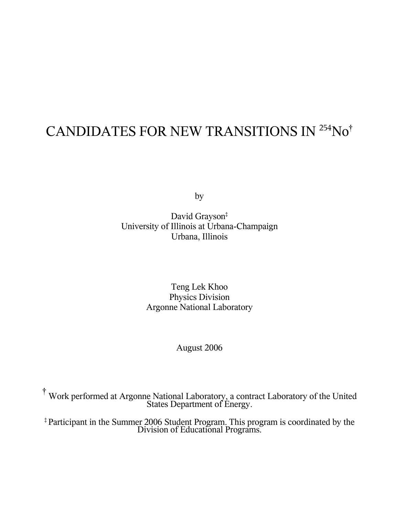# CANDIDATES FOR NEW TRANSITIONS IN <sup>254</sup>No<sup>†</sup>

by

David Grayson ‡ University of Illinois at Urbana-Champaign Urbana, Illinois

> Teng Lek Khoo Physics Division Argonne National Laboratory

# August 2006

† Work performed at Argonne National Laboratory, <sup>a</sup> contract Laboratory of the United States Department of Energy.

‡ Participant in the Summer 2006 Student Program. This program is coordinated by the Division of Educational Programs.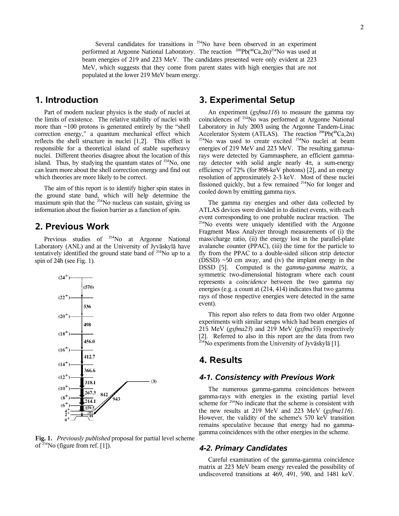## **1. Introduction**

Part of modern nuclear physics is the study of nuclei at the limits of existence. The relative stability of nuclei with more than  $\sim$ 100 protons is generated entirely by the "shell correction energy," a quantum mechanical effect which reflects the shell structure in nuclei [1,2]. This effect is responsible for a theoretical island of stable superheavy nuclei. Different theories disagree about the location of this island. Thus, by studying the quantum states of  $254$ No, one can learn more about the shell correction energy and find out which theories are more likely to be correct.

populated at the lower 219 MeV beam energy.

The aim of this report is to identify higher spin states in the ground state band, which will help determine the maximum spin that the <sup>254</sup>No nucleus can sustain, giving us information about the fission barrier as a function of spin.

## **2. Previous Work**

Previous studies of <sup>254</sup>No at Argonne National Laboratory (ANL) and at the University of Jyväskylä have tentatively identified the ground state band of <sup>254</sup>No up to a spin of 24ħ (see Fig. 1).



**Fig. 1.** *Previously published* proposal for partial level scheme of  $254$ No (figure from ref. [1]).

# **3. Experimental Setup**

An experiment (*gsfma116*) to measure the gamma ray coincidences of <sup>254</sup>No was performed at Argonne National Laboratory in July 2003 using the Argonne Tandem-Linac Accelerator System (ATLAS). The reaction <sup>208</sup>Pb(<sup>48</sup>Ca,2n)  $^{254}$ No was used to create excited  $^{254}$ No nuclei at beam energies of 219 MeV and 223 MeV. The resulting gammarays were detected by Gammasphere, an efficient gammaray detector with solid angle nearly 4π, a sum-energy efficiency of 72% (for 898-keV photons) [2], and an energy resolution of approximately 2-3 keV. Most of these nuclei fissioned quickly, but a few remained <sup>254</sup>No for longer and cooled down by emitting gamma rays.

The gamma ray energies and other data collected by ATLAS devices were divided in to distinct events, with each event corresponding to one probable nuclear reaction. The <sup>254</sup>No events were uniquely identified with the Argonne Fragment Mass Analyzer through measurements of (i) the mass/charge ratio, (ii) the energy lost in the parallel-plate avalanche counter (PPAC), (iii) the time for the particle to fly from the PPAC to a double-sided silicon strip detector (DSSD) ~50 cm away, and (iv) the implant energy in the DSSD [5]. Computed is the *gamma-gamma matrix*, a symmetric two-dimensional histogram where each count represents a *coincidence* between the two gamma ray energies (e.g. a count at (214, 414) indicates that two gamma rays of those respective energies were detected in the same event).

This report also refers to data from two older Argonne experiments with similar setups which had beam energies of 215 MeV (*gsfma23*) and 219 MeV (*gsfma55*) respectively [2]. Referred to also in this report are the data from two  $^{254}$ No experiments from the University of Jyväskylä [1].

## **4. Results**

#### *4-1. Consistency with Previous Work*

The numerous gamma-gamma coincidences between gamma-rays with energies in the existing partial level scheme for <sup>254</sup>No indicate that the scheme is consistent with the new results at 219 MeV and 223 MeV (*gsfma116*). However, the validity of the scheme's 570 keV transition remains speculative because that energy had no gammagamma coincidences with the other energies in the scheme.

#### *4-2. Primary Candidates*

Careful examination of the gamma-gamma coincidence matrix at 223 MeV beam energy revealed the possibility of undiscovered transitions at 469, 491, 590, and 1481 keV.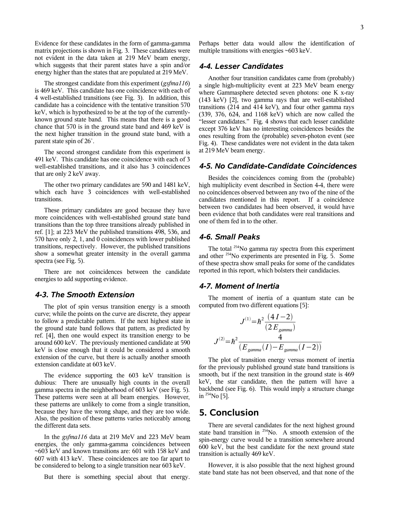Evidence for these candidates in the form of gamma-gamma matrix projections is shown in Fig. 3. These candidates were not evident in the data taken at 219 MeV beam energy, which suggests that their parent states have a spin and/or energy higher than the states that are populated at 219 MeV.

The strongest candidate from this experiment (*gsfma116*) is 469 keV. This candidate has one coincidence with each of 4 well-established transitions (see Fig. 3). In addition, this candidate has a coincidence with the tentative transition 570 keV, which is hypothesized to be at the top of the currentlyknown ground state band. This means that there is a good chance that 570 is in the ground state band and 469 keV is the next higher transition in the ground state band, with a parent state spin of 26<sup>+</sup>.

The second strongest candidate from this experiment is 491 keV. This candidate has one coincidence with each of 3 well-established transitions, and it also has 3 coincidences that are only 2 keV away.

The other two primary candidates are 590 and 1481 keV, which each have 3 coincidences with well-established transitions.

These primary candidates are good because they have more coincidences with well-established ground state band transitions than the top three transitions already published in ref. [1]; at 223 MeV the published transitions 498, 536, and 570 have only 2, 1, and 0 coincidences with lower published transitions, respectively. However, the published transitions show a somewhat greater intensity in the overall gamma spectra (see Fig. 5).

There are not coincidences between the candidate energies to add supporting evidence.

#### *4-3. The Smooth Extension*

The plot of spin versus transition energy is a smooth curve; while the points on the curve are discrete, they appear to follow a predictable pattern. If the next highest state in the ground state band follows that pattern, as predicted by ref. [4], then one would expect its transition energy to be around 600 keV. The previously mentioned candidate at 590 keV is close enough that it could be considered a smooth extension of the curve, but there is actually another smooth extension candidate at 603 keV.

The evidence supporting the 603 keV transition is dubious: There are unusually high counts in the overall gamma spectra in the neighborhood of 603 keV (see Fig. 5). These patterns were seen at all beam energies. However, these patterns are unlikely to come from a single transition, because they have the wrong shape, and they are too wide. Also, the position of these patterns varies noticeably among the different data sets.

In the *gsfma116* data at 219 MeV and 223 MeV beam energies, the only gamma-gamma coincidences between ~603 keV and known transitions are: 601 with 158 keV and 607 with 413 keV. These coincidences are too far apart to be considered to belong to a single transition near 603 keV.

But there is something special about that energy.

Perhaps better data would allow the identification of multiple transitions with energies ~603 keV.

#### *4-4. Lesser Candidates*

Another four transition candidates came from (probably) a single high-multiplicity event at 223 MeV beam energy where Gammasphere detected seven photons: one K x-ray (143 keV) [2], two gamma rays that are well-established transitions (214 and 414 keV), and four other gamma rays (339, 376, 624, and 1168 keV) which are now called the "lesser candidates." Fig. 4 shows that each lesser candidate except 376 keV has no interesting coincidences besides the ones resulting from the (probable) seven-photon event (see Fig. 4). These candidates were not evident in the data taken at 219 MeV beam energy.

#### *4-5. No Candidate-Candidate Coincidences*

Besides the coincidences coming from the (probable) high multiplicity event described in Section 4-4, there were no coincidences observed between any two of the nine of the candidates mentioned in this report. If a coincidence between two candidates had been observed, it would have been evidence that both candidates were real transitions and one of them fed in to the other.

### *4-6. Small Peaks*

The total <sup>254</sup>No gamma ray spectra from this experiment and other <sup>254</sup>No experiments are presented in Fig. 5. Some of these spectra show small peaks for some of the candidates reported in this report, which bolsters their candidacies.

#### *4-7. Moment of Inertia*

The moment of inertia of a quantum state can be computed from two different equations [5]:

$$
J^{(1)} = \hbar^2 \frac{(4 I - 2)}{(2 E_{gamma})}
$$

$$
J^{(2)} = \hbar^2 \frac{4}{(E_{gamma}(I) - E_{gamma}(I - 2))}
$$

The plot of transition energy versus moment of inertia for the previously published ground state band transitions is smooth, but if the next transition in the ground state is 469 keV, the star candidate, then the pattern will have a backbend (see Fig. 6). This would imply a structure change in <sup>254</sup>No [5].

## **5. Conclusion**

There are several candidates for the next highest ground state band transition in  $^{254}$ No. A smooth extension of the spin-energy curve would be a transition somewhere around 600 keV, but the best candidate for the next ground state transition is actually 469 keV.

However, it is also possible that the next highest ground state band state has not been observed, and that none of the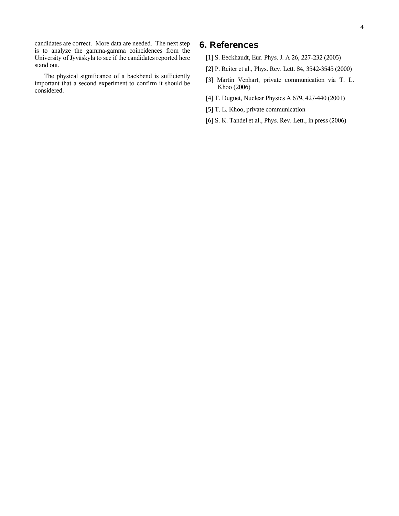candidates are correct. More data are needed. The next step is to analyze the gamma-gamma coincidences from the University of Jyväskylä to see if the candidates reported here stand out.

The physical significance of a backbend is sufficiently important that a second experiment to confirm it should be considered.

# **6. References**

- [1] S. Eeckhaudt, Eur. Phys. J. A 26, 227-232 (2005)
- [2] P. Reiter et al., Phys. Rev. Lett. 84, 3542-3545 (2000)
- [3] Martin Venhart, private communication via T. L. Khoo (2006)
- [4] T. Duguet, Nuclear Physics A 679, 427-440 (2001)
- [5] T. L. Khoo, private communication
- [6] S. K. Tandel et al., Phys. Rev. Lett., in press (2006)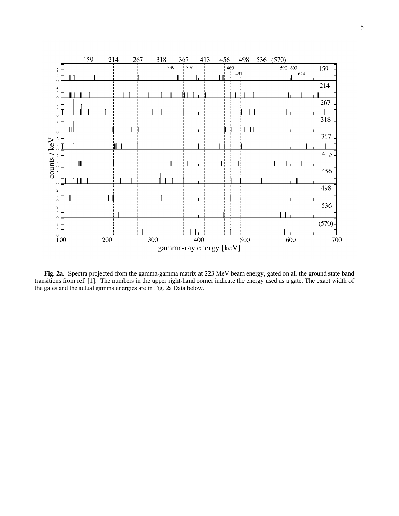

**Fig. 2a.** Spectra projected from the gamma-gamma matrix at 223 MeV beam energy, gated on all the ground state band transitions from ref. [1]. The numbers in the upper right-hand corner indicate the energy used as a gate. The exact width of the gates and the actual gamma energies are in Fig. 2a Data below.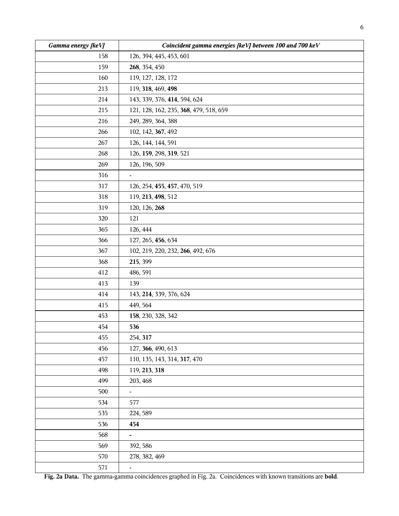| Gamma energy [keV] | Coincident gamma energies [keV] between 100 and 700 keV |  |  |  |  |  |  |  |  |
|--------------------|---------------------------------------------------------|--|--|--|--|--|--|--|--|
| 158                | 126, 394, 445, 453, 601                                 |  |  |  |  |  |  |  |  |
| 159                | 268, 354, 450                                           |  |  |  |  |  |  |  |  |
| 160                | 119, 127, 128, 172                                      |  |  |  |  |  |  |  |  |
| 213                | 119, 318, 469, 498                                      |  |  |  |  |  |  |  |  |
| 214                | 143, 339, 376, 414, 594, 624                            |  |  |  |  |  |  |  |  |
| 215                | 121, 128, 162, 235, 368, 479, 518, 659                  |  |  |  |  |  |  |  |  |
| 216                | 249, 289, 364, 388                                      |  |  |  |  |  |  |  |  |
| 266                | 102, 142, 367, 492                                      |  |  |  |  |  |  |  |  |
| 267                | 126, 144, 144, 591                                      |  |  |  |  |  |  |  |  |
| 268                | 126, 159, 298, 319, 521                                 |  |  |  |  |  |  |  |  |
| 269                | 126, 196, 509                                           |  |  |  |  |  |  |  |  |
| 316                | $\blacksquare$                                          |  |  |  |  |  |  |  |  |
| 317                | 126, 254, 455, 457, 470, 519                            |  |  |  |  |  |  |  |  |
| 318                | 119, 213, 498, 512                                      |  |  |  |  |  |  |  |  |
| 319                | 120, 126, 268                                           |  |  |  |  |  |  |  |  |
| 320                | 121                                                     |  |  |  |  |  |  |  |  |
| 365                | 126, 444                                                |  |  |  |  |  |  |  |  |
| 366                | 127, 265, 456, 634                                      |  |  |  |  |  |  |  |  |
| 367                | 102, 219, 220, 232, 266, 492, 676                       |  |  |  |  |  |  |  |  |
| 368                | 215, 399                                                |  |  |  |  |  |  |  |  |
| 412                | 486, 591                                                |  |  |  |  |  |  |  |  |
| 413                | 139                                                     |  |  |  |  |  |  |  |  |
| 414                | 143, 214, 339, 376, 624                                 |  |  |  |  |  |  |  |  |
| 415                | 449, 564                                                |  |  |  |  |  |  |  |  |
| 453                | 158, 230, 328, 342                                      |  |  |  |  |  |  |  |  |
| 454                | 536                                                     |  |  |  |  |  |  |  |  |
| 455                | 254, 317                                                |  |  |  |  |  |  |  |  |
| 456                | 127, 366, 490, 613                                      |  |  |  |  |  |  |  |  |
| 457                | 110, 135, 143, 314, 317, 470                            |  |  |  |  |  |  |  |  |
| 498                | 119, 213, 318                                           |  |  |  |  |  |  |  |  |
| 499                | 203, 468                                                |  |  |  |  |  |  |  |  |
| 500                | $\blacksquare$                                          |  |  |  |  |  |  |  |  |
| 534                | 577                                                     |  |  |  |  |  |  |  |  |
| 535                | 224, 589                                                |  |  |  |  |  |  |  |  |
| 536                | 454                                                     |  |  |  |  |  |  |  |  |
| 568                | $\overline{\phantom{0}}$                                |  |  |  |  |  |  |  |  |
| 569                | 392, 586                                                |  |  |  |  |  |  |  |  |
| 570                | 278, 382, 469                                           |  |  |  |  |  |  |  |  |
| 571                | $\blacksquare$                                          |  |  |  |  |  |  |  |  |

**Fig. 2a Data.** The gamma-gamma coincidences graphed in Fig. 2a. Coincidences with known transitions are **bold**.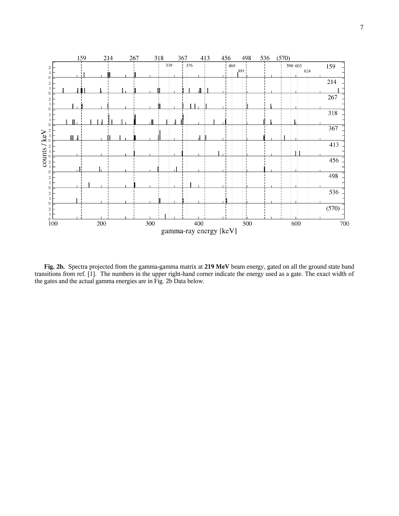

**Fig. 2b.** Spectra projected from the gamma-gamma matrix at **219 MeV** beam energy, gated on all the ground state band transitions from ref. [1]. The numbers in the upper right-hand corner indicate the energy used as a gate. The exact width of the gates and the actual gamma energies are in Fig. 2b Data below.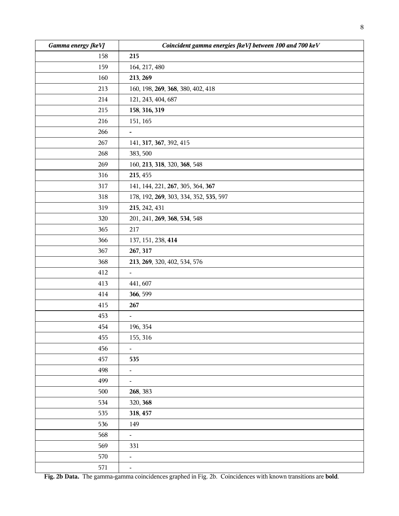| Gamma energy [keV] | Coincident gamma energies [keV] between 100 and 700 keV |  |  |  |  |  |  |  |  |
|--------------------|---------------------------------------------------------|--|--|--|--|--|--|--|--|
| 158                | 215                                                     |  |  |  |  |  |  |  |  |
| 159                | 164, 217, 480                                           |  |  |  |  |  |  |  |  |
| 160                | 213, 269                                                |  |  |  |  |  |  |  |  |
| 213                | 160, 198, 269, 368, 380, 402, 418                       |  |  |  |  |  |  |  |  |
| 214                | 121, 243, 404, 687                                      |  |  |  |  |  |  |  |  |
| 215                | 158, 316, 319                                           |  |  |  |  |  |  |  |  |
| 216                | 151, 165                                                |  |  |  |  |  |  |  |  |
| 266                | $\overline{\phantom{0}}$                                |  |  |  |  |  |  |  |  |
| 267                | 141, 317, 367, 392, 415                                 |  |  |  |  |  |  |  |  |
| 268                | 383, 500                                                |  |  |  |  |  |  |  |  |
| 269                | 160, 213, 318, 320, 368, 548                            |  |  |  |  |  |  |  |  |
| 316                | 215, 455                                                |  |  |  |  |  |  |  |  |
| 317                | 141, 144, 221, 267, 305, 364, 367                       |  |  |  |  |  |  |  |  |
| 318                | 178, 192, 269, 303, 334, 352, 535, 597                  |  |  |  |  |  |  |  |  |
| 319                | 215, 242, 431                                           |  |  |  |  |  |  |  |  |
| 320                | 201, 241, 269, 368, 534, 548                            |  |  |  |  |  |  |  |  |
| 365                | 217                                                     |  |  |  |  |  |  |  |  |
| 366                | 137, 151, 238, 414                                      |  |  |  |  |  |  |  |  |
| 367                | 267, 317                                                |  |  |  |  |  |  |  |  |
| 368                | 213, 269, 320, 402, 534, 576                            |  |  |  |  |  |  |  |  |
| 412                | $\blacksquare$                                          |  |  |  |  |  |  |  |  |
| 413                | 441, 607                                                |  |  |  |  |  |  |  |  |
| 414                | 366, 599                                                |  |  |  |  |  |  |  |  |
| 415                | 267                                                     |  |  |  |  |  |  |  |  |
| 453                | $\blacksquare$                                          |  |  |  |  |  |  |  |  |
| 454                | 196, 354                                                |  |  |  |  |  |  |  |  |
| 455                | 155, 316                                                |  |  |  |  |  |  |  |  |
| 456                | ۰.                                                      |  |  |  |  |  |  |  |  |
| 457                | 535                                                     |  |  |  |  |  |  |  |  |
| 498                | $\blacksquare$                                          |  |  |  |  |  |  |  |  |
| 499                | $\blacksquare$                                          |  |  |  |  |  |  |  |  |
| 500                | 268, 383                                                |  |  |  |  |  |  |  |  |
| 534                | 320, 368                                                |  |  |  |  |  |  |  |  |
| 535                | 318, 457                                                |  |  |  |  |  |  |  |  |
| 536                | 149                                                     |  |  |  |  |  |  |  |  |
| 568                | $\blacksquare$                                          |  |  |  |  |  |  |  |  |
| 569                | 331                                                     |  |  |  |  |  |  |  |  |
| 570                | $\frac{1}{2}$                                           |  |  |  |  |  |  |  |  |
| 571                | $\blacksquare$                                          |  |  |  |  |  |  |  |  |

**Fig. 2b Data.** The gamma-gamma coincidences graphed in Fig. 2b. Coincidences with known transitions are **bold**.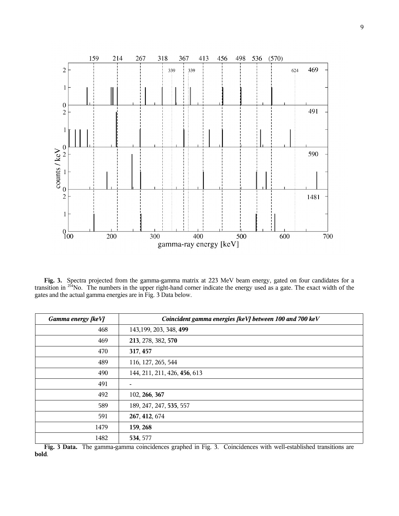

**Fig. 3.** Spectra projected from the gamma-gamma matrix at 223 MeV beam energy, gated on four candidates for a transition in <sup>254</sup>No. The numbers in the upper right-hand corner indicate the energy used as a gate. The exact width of the gates and the actual gamma energies are in Fig. 3 Data below.

| Gamma energy [keV] | Coincident gamma energies [keV] between 100 and 700 keV |  |  |  |  |  |
|--------------------|---------------------------------------------------------|--|--|--|--|--|
| 468                | 143, 199, 203, 348, 499                                 |  |  |  |  |  |
| 469                | 213, 278, 382, 570                                      |  |  |  |  |  |
| 470                | 317, 457                                                |  |  |  |  |  |
| 489                | 116, 127, 265, 544                                      |  |  |  |  |  |
| 490                | 144, 211, 211, 426, 456, 613                            |  |  |  |  |  |
| 491                | $\overline{\phantom{a}}$                                |  |  |  |  |  |
| 492                | 102, 266, 367                                           |  |  |  |  |  |
| 589                | 189, 247, 247, 535, 557                                 |  |  |  |  |  |
| 591                | 267, 412, 674                                           |  |  |  |  |  |
| 1479               | 159, 268                                                |  |  |  |  |  |
| 1482               | 534, 577                                                |  |  |  |  |  |

**Fig. 3 Data.** The gamma-gamma coincidences graphed in Fig. 3. Coincidences with well-established transitions are **bold**.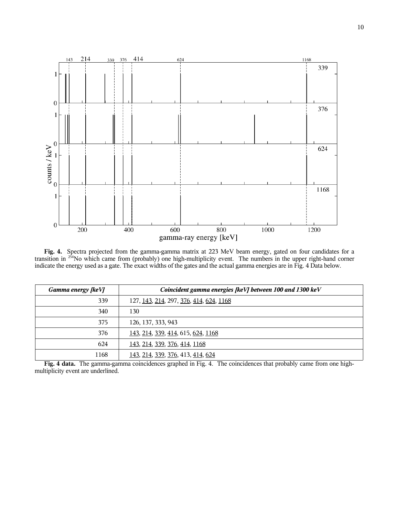

**Fig. 4.** Spectra projected from the gamma-gamma matrix at 223 MeV beam energy, gated on four candidates for a transition in <sup>254</sup>No which came from (probably) one high-multiplicity event. The numbers in the upper right-hand corner indicate the energy used as a gate. The exact widths of the gates and the actual gamma energies are in Fig. 4 Data below.

| Gamma energy [keV] | Coincident gamma energies [keV] between 100 and 1300 keV |  |  |  |  |  |
|--------------------|----------------------------------------------------------|--|--|--|--|--|
| 339                | 127, 143, 214, 297, 376, 414, 624, 1168                  |  |  |  |  |  |
| 340                | 130                                                      |  |  |  |  |  |
| 375                | 126, 137, 333, 943                                       |  |  |  |  |  |
| 376                | <u>143, 214, 339, 414, 615, 624, 1168</u>                |  |  |  |  |  |
| 624                | <u>143, 214, 339, 376, 414, 1168</u>                     |  |  |  |  |  |
| 1168               | 143, 214, 339, 376, 413, 414, 624                        |  |  |  |  |  |

**Fig. 4 data.** The gamma-gamma coincidences graphed in Fig. 4. The coincidences that probably came from one highmultiplicity event are underlined.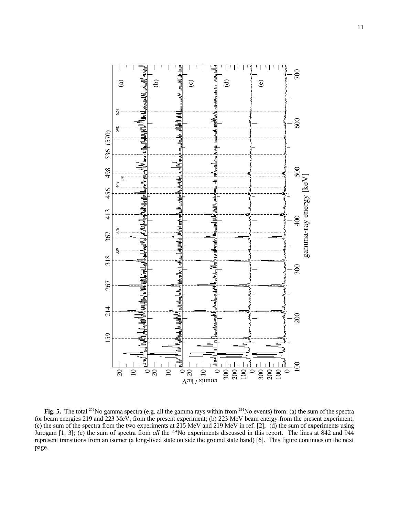

**Fig. 5.** The total <sup>254</sup>No gamma spectra (e.g. all the gamma rays within from <sup>254</sup>No events) from: (a) the sum of the spectra for beam energies 219 and 223 MeV, from the present experiment; (b) 223 MeV beam energy from the present experiment; (c) the sum of the spectra from the two experiments at 215 MeV and 219 MeV in ref. [2]; (d) the sum of experiments using Jurogam [1, 3]; (e) the sum of spectra from *all* the <sup>254</sup>No experiments discussed in this report. The lines at 842 and 944 represent transitions from an isomer (a long-lived state outside the ground state band) [6]. This figure continues on the next page.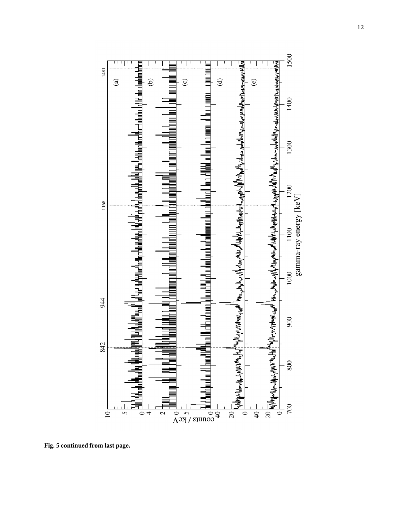

**Fig. 5 continued from last page.**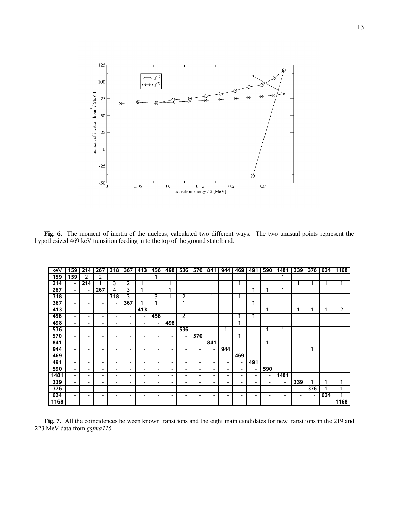

**Fig. 6.** The moment of inertia of the nucleus, calculated two different ways. The two unusual points represent the hypothesized 469 keV transition feeding in to the top of the ground state band.

| keV  | 159                      | 214 | 267                      | 318                      | 367                      | 413 | 456 | 498                      | 536                      | 570                      | 841 | 944                          | 469                      | 491                      | 590 | 1481                     | 339                      | 376 | 624 | 1168           |
|------|--------------------------|-----|--------------------------|--------------------------|--------------------------|-----|-----|--------------------------|--------------------------|--------------------------|-----|------------------------------|--------------------------|--------------------------|-----|--------------------------|--------------------------|-----|-----|----------------|
| 159  | 159                      | 2   | 2                        |                          |                          |     |     |                          |                          |                          |     |                              |                          |                          |     | 1                        |                          |     |     |                |
| 214  | $\overline{\phantom{a}}$ | 214 |                          | 3                        | 2                        |     |     | 1                        |                          |                          |     |                              | и                        |                          |     |                          |                          |     | ٠   | 1              |
| 267  | $\overline{\phantom{a}}$ |     | 267                      | 4                        | 3                        |     |     | ٠                        |                          |                          |     |                              |                          |                          |     | -1                       |                          |     |     |                |
| 318  | $\overline{\phantom{a}}$ | -   | $\overline{\phantom{a}}$ | 318                      | 3                        |     | 3   |                          | 2                        |                          |     |                              |                          |                          |     |                          |                          |     |     |                |
| 367  | $\overline{\phantom{a}}$ | -   | $\overline{\phantom{a}}$ |                          | 367                      |     |     |                          | 1                        |                          |     |                              |                          | 1                        |     |                          |                          |     |     |                |
| 413  | $\overline{\phantom{0}}$ | -   | -                        | -                        | $\overline{\phantom{a}}$ | 413 |     |                          |                          |                          |     |                              |                          |                          | ⊣   |                          |                          |     |     | $\overline{2}$ |
| 456  | $\overline{\phantom{a}}$ | -   | -                        | $\overline{\phantom{a}}$ | $\overline{\phantom{a}}$ |     | 456 |                          | $\overline{2}$           |                          |     |                              |                          |                          |     |                          |                          |     |     |                |
| 498  | $\overline{\phantom{a}}$ | -   | ۰                        | $\overline{\phantom{a}}$ | $\overline{\phantom{a}}$ |     | -   | 498                      |                          |                          |     |                              |                          |                          |     |                          |                          |     |     |                |
| 536  | $\overline{\phantom{a}}$ | -   | -                        | -                        | $\overline{\phantom{a}}$ | -   | ۰   | -                        | 536                      |                          |     |                              |                          |                          |     |                          |                          |     |     |                |
| 570  | $\overline{\phantom{a}}$ | -   | -                        | -                        | $\overline{\phantom{a}}$ | -   | -   | $\overline{\phantom{a}}$ | $\overline{\phantom{a}}$ | 570                      |     |                              |                          |                          |     |                          |                          |     |     |                |
| 841  | $\overline{\phantom{a}}$ | -   | $\overline{\phantom{a}}$ | $\overline{\phantom{a}}$ | $\overline{\phantom{a}}$ | -   | ۰.  | $\overline{\phantom{a}}$ | $\overline{\phantom{a}}$ | $\overline{\phantom{0}}$ | 841 |                              |                          |                          | 1   |                          |                          |     |     |                |
| 944  | $\overline{\phantom{a}}$ | -   | $\overline{\phantom{a}}$ | $\overline{\phantom{a}}$ | $\overline{\phantom{a}}$ | -   | ۰   | -                        | $\overline{\phantom{a}}$ | -                        |     | 944                          |                          |                          |     |                          |                          | и   |     |                |
| 469  | $\overline{\phantom{a}}$ | -   | -                        | $\overline{\phantom{a}}$ | $\overline{\phantom{a}}$ | -   | ۰   | -                        | ۰.                       | $\overline{\phantom{a}}$ | -   | -                            | 469                      |                          |     |                          |                          |     |     |                |
| 491  | $\overline{\phantom{a}}$ | ۰   | -                        | $\overline{\phantom{a}}$ | $\overline{\phantom{a}}$ | -   | ۰   | $\overline{\phantom{a}}$ | $\overline{\phantom{a}}$ | $\overline{\phantom{a}}$ | -   | ۰                            | -                        | 491                      |     |                          |                          |     |     |                |
| 590  | $\overline{\phantom{a}}$ | -   | -                        | $\overline{\phantom{a}}$ | $\overline{\phantom{a}}$ | -   | ۰   | ۰                        | ۰.                       | -                        | -   | $\qquad \qquad \blacksquare$ | $\overline{\phantom{0}}$ | $\overline{\phantom{a}}$ | 590 |                          |                          |     |     |                |
| 1481 | $\overline{\phantom{a}}$ | -   | -                        | -                        | -                        | -   | ۰   | ۰                        | ۰.                       | -                        | -   | -                            | ۰.                       | -                        | ۰   | 1481                     |                          |     |     |                |
| 339  | $\overline{\phantom{a}}$ | -   | ۰                        | $\overline{\phantom{a}}$ | $\overline{\phantom{a}}$ | -   | ۰   | ۰                        | $\overline{\phantom{a}}$ | $\overline{\phantom{a}}$ | -   | -                            | $\overline{\phantom{0}}$ | $\overline{\phantom{a}}$ |     | $\overline{\phantom{0}}$ | 339                      |     | ٠   | 1              |
| 376  | $\overline{\phantom{a}}$ | -   | $\overline{\phantom{a}}$ | $\overline{\phantom{a}}$ | $\overline{\phantom{a}}$ | -   | ۰   | ۰                        | $\overline{\phantom{a}}$ | $\overline{\phantom{a}}$ | -   | -                            | -                        | $\overline{\phantom{a}}$ | -   | ۰                        | $\overline{\phantom{a}}$ | 376 |     | ٠              |
| 624  | $\overline{\phantom{a}}$ | ۰   | -                        | $\overline{\phantom{a}}$ | $\overline{\phantom{a}}$ | -   | ۰   | $\overline{\phantom{0}}$ | ۰.                       | $\overline{\phantom{a}}$ | -   | -                            | -                        | $\overline{\phantom{a}}$ | -   | $\overline{\phantom{a}}$ | $\overline{\phantom{a}}$ | -   | 624 |                |
| 1168 | $\overline{\phantom{a}}$ | -   | -                        | -                        | $\overline{\phantom{a}}$ |     | -   | ۰                        | $\overline{\phantom{a}}$ | $\overline{\phantom{a}}$ | -   | -                            | $\overline{\phantom{0}}$ | ۰                        | ۰   | -                        | -                        | -   | -   | 1168           |

**Fig. 7.** All the coincidences between known transitions and the eight main candidates for new transitions in the 219 and MeV data from *gsfma116*.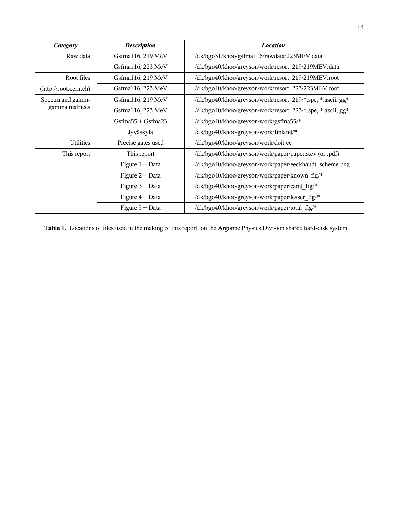| <b>Category</b>                     | <b>Description</b>      | <b>Location</b>                                            |  |  |  |  |  |  |  |  |
|-------------------------------------|-------------------------|------------------------------------------------------------|--|--|--|--|--|--|--|--|
| Raw data                            | Gsfma116, 219 MeV       | /dk/bgo31/khoo/gsfma116/rawdata/223MEV.data                |  |  |  |  |  |  |  |  |
|                                     | Gsfma116, 223 MeV       | /dk/bgo40/khoo/greyson/work/resort 219/219MEV.data         |  |  |  |  |  |  |  |  |
| Root files                          | Gsfma116, 219 MeV       | /dk/bgo40/khoo/greyson/work/resort 219/219MEV.root         |  |  |  |  |  |  |  |  |
| (http://root.cern.ch)               | Gsfma116, 223 MeV       | /dk/bgo40/khoo/greyson/work/resort 223/223MEV.root         |  |  |  |  |  |  |  |  |
| Spectra and gamm-<br>gamma matrices | Gsfma116, 219 MeV       | /dk/bgo40/khoo/greyson/work/resort_219/*.spe, *.ascii, gg* |  |  |  |  |  |  |  |  |
|                                     | Gsfma116, 223 MeV       | /dk/bgo40/khoo/greyson/work/resort 223/*.spe, *.ascii, gg* |  |  |  |  |  |  |  |  |
|                                     | $Gs$ fma55 + $Gs$ fma23 | /dk/bgo40/khoo/greyson/work/gsfma55/*                      |  |  |  |  |  |  |  |  |
|                                     | Jyväskylä               | /dk/bgo40/khoo/greyson/work/finland/*                      |  |  |  |  |  |  |  |  |
| <b>Utilities</b>                    | Precise gates used      | /dk/bgo40/khoo/greyson/work/doit.cc                        |  |  |  |  |  |  |  |  |
| This report                         | This report             | /dk/bgo40/khoo/greyson/work/paper/paper.sxw (or .pdf)      |  |  |  |  |  |  |  |  |
|                                     | Figure $1 + Data$       | /dk/bgo40/khoo/greyson/work/paper/eeckhaudt_scheme.png     |  |  |  |  |  |  |  |  |
|                                     | Figure $2 + Data$       | /dk/bgo40/khoo/greyson/work/paper/known fig/*              |  |  |  |  |  |  |  |  |
|                                     | Figure $3 + Data$       | /dk/bgo40/khoo/greyson/work/paper/cand fig/*               |  |  |  |  |  |  |  |  |
|                                     | Figure $4 + Data$       | /dk/bgo40/khoo/greyson/work/paper/lesser fig/*             |  |  |  |  |  |  |  |  |
|                                     | Figure $5 + Data$       | /dk/bgo40/khoo/greyson/work/paper/total fig/*              |  |  |  |  |  |  |  |  |

Table 1. Locations of files used in the making of this report, on the Argonne Physics Division shared hard-disk system.